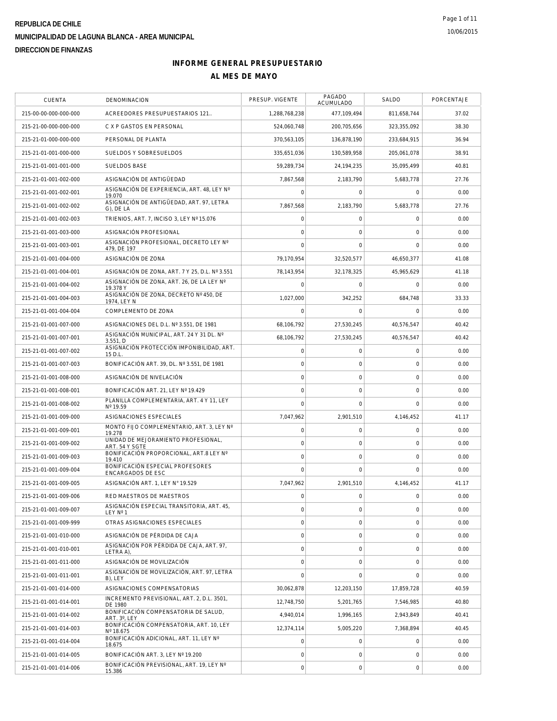| CUENTA                                         | DENOMINACION                                             | PRESUP. VIGENTE                    | PAGADO<br>ACUMULADO                | SALDO            | PORCENTAJE   |
|------------------------------------------------|----------------------------------------------------------|------------------------------------|------------------------------------|------------------|--------------|
| 215-00-00-000-000-000                          | ACREEDORES PRESUPUESTARIOS 121                           | 1,288,768,238                      | 477,109,494                        | 811,658,744      | 37.02        |
| 215-21-00-000-000-000                          | C X P GASTOS EN PERSONAL                                 | 524,060,748                        | 200,705,656                        | 323,355,092      | 38.30        |
| 215-21-01-000-000-000                          | PERSONAL DE PLANTA                                       | 370,563,105                        | 136.878.190                        | 233,684,915      | 36.94        |
| 215-21-01-001-000-000                          | SUELDOS Y SOBRESUELDOS                                   | 335,651,036                        | 130,589,958                        | 205,061,078      | 38.91        |
| 215-21-01-001-001-000                          | <b>SUELDOS BASE</b>                                      | 59,289,734                         | 24,194,235                         | 35,095,499       | 40.81        |
| 215-21-01-001-002-000                          | ASIGNACIÓN DE ANTIGÜEDAD                                 | 7,867,568                          | 2,183,790                          | 5,683,778        | 27.76        |
| 215-21-01-001-002-001                          | ASIGNACIÓN DE EXPERIENCIA, ART. 48, LEY Nº<br>19.070     | $\overline{0}$                     | $\mathbf 0$                        | $\mathbf 0$      | 0.00         |
| 215-21-01-001-002-002                          | ASIGNACIÓN DE ANTIGÜEDAD, ART. 97, LETRA<br>G), DE LA    | 7,867,568                          | 2.183.790                          | 5.683.778        | 27.76        |
| 215-21-01-001-002-003                          | TRIENIOS, ART. 7, INCISO 3, LEY Nº 15.076                | $\mathbf 0$                        | $\mathbf 0$                        | $\mathbf 0$      | 0.00         |
| 215-21-01-001-003-000                          | ASIGNACIÓN PROFESIONAL                                   | $\overline{0}$                     | $\mathbf 0$                        | 0                | 0.00         |
| 215-21-01-001-003-001                          | ASIGNACIÓN PROFESIONAL, DECRETO LEY Nº<br>479, DE 197    | $\overline{0}$                     | $\mathbf 0$                        | 0                | 0.00         |
| 215-21-01-001-004-000                          | ASIGNACIÓN DE ZONA                                       | 79,170,954                         | 32,520,577                         | 46,650,377       | 41.08        |
| 215-21-01-001-004-001                          | ASIGNACIÓN DE ZONA, ART. 7 Y 25, D.L. Nº 3.551           | 78.143.954                         | 32.178.325                         | 45,965,629       | 41.18        |
| 215-21-01-001-004-002                          | ASIGNACIÓN DE ZONA, ART. 26, DE LA LEY Nº<br>19.378 Y    | $\Omega$                           | $\Omega$                           | $\Omega$         | 0.00         |
| 215-21-01-001-004-003                          | ASIGNACIÓN DE ZONA. DECRETO Nº 450. DE<br>1974, LEY N    | 1,027,000                          | 342,252                            | 684,748          | 33.33        |
| 215-21-01-001-004-004                          | COMPLEMENTO DE ZONA                                      | $\mathbf 0$                        | $\mathbf 0$                        | 0                | 0.00         |
| 215-21-01-001-007-000                          | ASIGNACIONES DEL D.L. Nº 3.551, DE 1981                  | 68,106,792                         | 27,530,245                         | 40.576.547       | 40.42        |
| 215-21-01-001-007-001                          | ASIGNACIÓN MUNICIPAL, ART. 24 Y 31 DL. Nº<br>3.551, D    | 68.106.792                         | 27,530,245                         | 40,576,547       | 40.42        |
| 215-21-01-001-007-002                          | ASIGNACIÓN PROTECCIÓN IMPONIBILIDAD, ART.<br>15 D.L.     | $\mathsf{O}\xspace$                | 0                                  | 0                | 0.00         |
| 215-21-01-001-007-003                          | BONIFICACIÓN ART. 39, DL. Nº 3.551, DE 1981              | $\mathbf 0$                        | $\mathbf 0$                        | $\mathbf 0$      | 0.00         |
| 215-21-01-001-008-000                          | ASIGNACIÓN DE NIVELACIÓN                                 | $\mathbf 0$                        | $\mathsf{O}\xspace$                | $\mathsf 0$      | 0.00         |
| 215-21-01-001-008-001                          | BONIFICACIÓN ART. 21, LEY Nº 19.429                      | $\overline{0}$                     | $\mathbf 0$                        | 0                | 0.00         |
| 215-21-01-001-008-002                          | PLANILLA COMPLEMENTARIA, ART. 4 Y 11, LEY<br>Nº 19.59    | $\overline{0}$                     | $\Omega$                           | $\mathbf 0$      | 0.00         |
| 215-21-01-001-009-000                          | ASIGNACIONES ESPECIALES                                  | 7,047,962                          | 2,901,510                          | 4,146,452        | 41.17        |
| 215-21-01-001-009-001                          | MONTO FIJO COMPLEMENTARIO, ART. 3, LEY Nº<br>19.278      | $\mathsf{O}\xspace$                | 0                                  | 0                | 0.00         |
| 215-21-01-001-009-002                          | UNIDAD DE MEJORAMIENTO PROFESIONAL,<br>ART. 54 Y SGTE    | $\mathbf 0$                        | $\mathsf{O}\xspace$                | 0                | 0.00         |
| 215-21-01-001-009-003                          | BONIFICACIÓN PROPORCIONAL, ART.8 LEY Nº<br>19.410        | $\mathbf 0$                        | $\mathbf 0$                        | 0                | 0.00         |
| 215-21-01-001-009-004                          | BONIFICACIÓN ESPECIAL PROFESORES<br>ENCARGADOS DE ESC    | $\overline{0}$                     | $\mathbf 0$                        | $\mathbf 0$      | 0.00         |
| 215-21-01-001-009-005                          | ASIGNACIÓN ART. 1, LEY Nº 19.529                         | 7,047,962                          | 2,901,510                          | 4,146,452        | 41.17        |
| 215-21-01-001-009-006                          | RED MAESTROS DE MAESTROS                                 | $\mathbf 0$                        | $\circ$                            | 0                | 0.00         |
| 215-21-01-001-009-007                          | ASIGNACION ESPECIAL TRANSITORIA, ART. 45,                | $\mathbf 0$                        | 0                                  | $\mathbf 0$      | 0.00         |
| 215-21-01-001-009-999                          | LEY Nº 1<br>OTRAS ASIGNACIONES ESPECIALES                | $\mathsf{O}\xspace$                | $\circ$                            | $\mathbf 0$      | 0.00         |
| 215-21-01-001-010-000                          | ASIGNACIÓN DE PÉRDIDA DE CAJA                            | $\mathsf{O}\xspace$                | 0                                  | 0                | 0.00         |
| 215-21-01-001-010-001                          | ASIGNACIÓN POR PÉRDIDA DE CAJA, ART. 97,                 | $\mathbf 0$                        | 0                                  | 0                | 0.00         |
| 215-21-01-001-011-000                          | LETRA A),<br>ASIGNACIÓN DE MOVILIZACIÓN                  | $\mathsf{O}\xspace$                | $\mathbf 0$                        | 0                | 0.00         |
| 215-21-01-001-011-001                          | ASIGNACIÓN DE MOVILIZACIÓN, ART. 97, LETRA               | $\Omega$                           | $\mathbf 0$                        | $\Omega$         | 0.00         |
| 215-21-01-001-014-000                          | B), LEY<br>ASIGNACIONES COMPENSATORIAS                   | 30,062,878                         | 12,203,150                         | 17,859,728       | 40.59        |
| 215-21-01-001-014-001                          | INCREMENTO PREVISIONAL, ART. 2, D.L. 3501,               | 12,748,750                         | 5,201,765                          | 7,546,985        | 40.80        |
| 215-21-01-001-014-002                          | DE 1980<br>BONIFICACIÓN COMPENSATORIA DE SALUD,          | 4,940,014                          | 1,996,165                          | 2,943,849        | 40.41        |
| 215-21-01-001-014-003                          | ART. 3°, LEY<br>BONIFICACIÓN COMPENSATORIA, ART. 10, LEY | 12,374,114                         | 5,005,220                          | 7,368,894        | 40.45        |
| 215-21-01-001-014-004                          | Nº 18.675<br>BONIFICACIÓN ADICIONAL, ART. 11, LEY Nº     | $\mathsf{O}\xspace$                | 0                                  | 0                | 0.00         |
|                                                | 18.675                                                   |                                    |                                    |                  |              |
|                                                | BONIFICACIÓN PREVISIONAL, ART. 19, LEY Nº                |                                    |                                    |                  |              |
| 215-21-01-001-014-005<br>215-21-01-001-014-006 | BONIFICACIÓN ART. 3, LEY Nº 19.200<br>15.386             | $\mathsf{O}\xspace$<br>$\mathbf 0$ | $\mathbf 0$<br>$\mathsf{O}\xspace$ | 0<br>$\mathbf 0$ | 0.00<br>0.00 |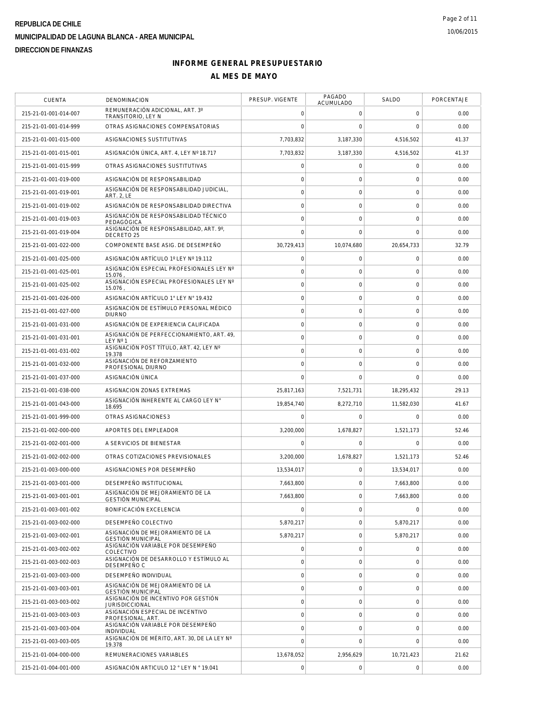| <b>CUENTA</b>         | DENOMINACION                                                 | PRESUP. VIGENTE | PAGADO<br>ACUMULADO | SALDO        | PORCENTAJE |
|-----------------------|--------------------------------------------------------------|-----------------|---------------------|--------------|------------|
| 215-21-01-001-014-007 | REMUNERACIÓN ADICIONAL, ART. 3°<br>TRANSITORIO, LEY N        | 0               | 0                   | $\circ$      | 0.00       |
| 215-21-01-001-014-999 | OTRAS ASIGNACIONES COMPENSATORIAS                            | $\Omega$        | $\mathbf 0$         | $\mathbf 0$  | 0.00       |
| 215-21-01-001-015-000 | ASIGNACIONES SUSTITUTIVAS                                    | 7,703,832       | 3.187.330           | 4.516.502    | 41.37      |
| 215-21-01-001-015-001 | ASIGNACIÓN ÚNICA, ART. 4. LEY Nº 18.717                      | 7,703,832       | 3.187.330           | 4,516,502    | 41.37      |
| 215-21-01-001-015-999 | OTRAS ASIGNACIONES SUSTITUTIVAS                              | $\overline{0}$  | $\mathbf 0$         | $\circ$      | 0.00       |
| 215-21-01-001-019-000 | ASIGNACIÓN DE RESPONSABILIDAD                                | $\overline{0}$  | 0                   | $\mathbf 0$  | 0.00       |
| 215-21-01-001-019-001 | ASIGNACIÓN DE RESPONSABILIDAD JUDICIAL.<br><b>ART. 2, LE</b> | 0               | $\mathbf 0$         | $\mathbf 0$  | 0.00       |
| 215-21-01-001-019-002 | ASIGNACIÓN DE RESPONSABILIDAD DIRECTIVA                      | $\overline{0}$  | $\mathbf 0$         | $\mathbf 0$  | 0.00       |
| 215-21-01-001-019-003 | ASIGNACIÓN DE RESPONSABILIDAD TÉCNICO<br>PEDAGÓGICA          | $\overline{0}$  | $\mathbf 0$         | $\mathbf{0}$ | 0.00       |
| 215-21-01-001-019-004 | ASIGNACIÓN DE RESPONSABILIDAD, ART. 9°,<br>DECRETO 25        | $\Omega$        | $\mathbf 0$         | $\mathbf{0}$ | 0.00       |
| 215-21-01-001-022-000 | COMPONENTE BASE ASIG. DE DESEMPEÑO                           | 30,729,413      | 10,074,680          | 20,654,733   | 32.79      |
| 215-21-01-001-025-000 | ASIGNACIÓN ARTÍCULO 1º LEY Nº 19.112                         | 0               | 0                   | $\circ$      | 0.00       |
| 215-21-01-001-025-001 | ASIGNACIÓN ESPECIAL PROFESIONALES LEY Nº<br>15.076           | $\mathbf 0$     | 0                   | $\circ$      | 0.00       |
| 215-21-01-001-025-002 | ASIGNACIÓN ESPECIAL PROFESIONALES LEY Nº<br>15.076           | 0               | $\mathbf 0$         | $\mathbf 0$  | 0.00       |
| 215-21-01-001-026-000 | ASIGNACIÓN ARTÍCULO 1° LEY N° 19.432                         | $\mathbf 0$     | $\mathsf{O}\xspace$ | $\circ$      | 0.00       |
| 215-21-01-001-027-000 | ASIGNACIÓN DE ESTÍMULO PERSONAL MÉDICO<br><b>DIURNO</b>      | $\overline{0}$  | $\mathbf 0$         | $\mathbf 0$  | 0.00       |
| 215-21-01-001-031-000 | ASIGNACIÓN DE EXPERIENCIA CALIFICADA                         | $\overline{0}$  | 0                   | $\mathbf 0$  | 0.00       |
| 215-21-01-001-031-001 | ASIGNACIÓN DE PERFECCIONAMIENTO, ART. 49,<br>LEY Nº 1        | 0               | 0                   | $\circ$      | 0.00       |
| 215-21-01-001-031-002 | ASIGNACIÓN POST TÍTULO, ART, 42, LEY Nº<br>19.378            | $\mathbf 0$     | $\mathbf 0$         | $\mathbf 0$  | 0.00       |
| 215-21-01-001-032-000 | ASIGNACIÓN DE REFORZAMIENTO<br>PROFESIONAL DIURNO            | $\overline{0}$  | $\mathbf 0$         | $\mathbf 0$  | 0.00       |
| 215-21-01-001-037-000 | ASIGNACIÓN ÚNICA                                             | 0               | $\mathbf 0$         | $\mathbf 0$  | 0.00       |
| 215-21-01-001-038-000 | ASIGNACION ZONAS EXTREMAS                                    | 25,817,163      | 7,521,731           | 18,295,432   | 29.13      |
| 215-21-01-001-043-000 | ASIGNACIÓN INHERENTE AL CARGO LEY N°<br>18.695               | 19,854,740      | 8,272,710           | 11,582,030   | 41.67      |
| 215-21-01-001-999-000 | OTRAS ASIGNACIONES3                                          | 0               | 0                   | $\mathbf 0$  | 0.00       |
| 215-21-01-002-000-000 | APORTES DEL EMPLEADOR                                        | 3,200,000       | 1,678,827           | 1,521,173    | 52.46      |
| 215-21-01-002-001-000 | A SERVICIOS DE BIENESTAR                                     | 0               | 0                   | $\mathbf 0$  | 0.00       |
| 215-21-01-002-002-000 | OTRAS COTIZACIONES PREVISIONALES                             | 3,200,000       | 1,678,827           | 1,521,173    | 52.46      |
| 215-21-01-003-000-000 | ASIGNACIONES POR DESEMPEÑO                                   | 13,534,017      | 0                   | 13,534,017   | 0.00       |
| 215-21-01-003-001-000 | DESEMPEÑO INSTITUCIONAL                                      | 7,663,800       | 0                   | 7,663,800    | 0.00       |
| 215-21-01-003-001-001 | ASIGNACIÓN DE MEJORAMIENTO DE LA<br><b>GESTIÓN MUNICIPAL</b> | 7,663,800       | 0                   | 7,663,800    | 0.00       |
| 215-21-01-003-001-002 | BONIFICACIÓN EXCELENCIA                                      | 0               | $\mathsf{O}\xspace$ | $\mathbf 0$  | 0.00       |
| 215-21-01-003-002-000 | DESEMPEÑO COLECTIVO                                          | 5,870,217       | $\mathbf 0$         | 5,870,217    | 0.00       |
| 215-21-01-003-002-001 | ASIGNACIÓN DE MEJORAMIENTO DE LA<br><b>GESTIÓN MUNICIPAL</b> | 5,870,217       | $\mathbf 0$         | 5,870,217    | 0.00       |
| 215-21-01-003-002-002 | ASIGNACIÓN VARIABLE POR DESEMPEÑO<br>COLECTIVO               | $\overline{0}$  | $\mathbf 0$         | $\mathbf 0$  | 0.00       |
| 215-21-01-003-002-003 | ASIGNACIÓN DE DESARROLLO Y ESTÍMULO AL<br>DESEMPEÑO C        | 0               | 0                   | $\mathbf 0$  | 0.00       |
| 215-21-01-003-003-000 | DESEMPEÑO INDIVIDUAL                                         | $\mathbf 0$     | $\mathbf 0$         | $\mathbf 0$  | 0.00       |
| 215-21-01-003-003-001 | ASIGNACIÓN DE MEJORAMIENTO DE LA<br><b>GESTIÓN MUNICIPAL</b> | $\circ$         | 0                   | $\mathbf 0$  | 0.00       |
| 215-21-01-003-003-002 | ASIGNACIÓN DE INCENTIVO POR GESTIÓN<br><b>JURISDICCIONAL</b> | 0               | 0                   | $\mathbf 0$  | 0.00       |
| 215-21-01-003-003-003 | ASIGNACIÓN ESPECIAL DE INCENTIVO<br>PROFESIONAL, ART.        | $\circ$         | $\mathbf 0$         | $\mathbf 0$  | 0.00       |
| 215-21-01-003-003-004 | ASIGNACIÓN VARIABLE POR DESEMPEÑO<br>INDIVIDUAL              | 0               | $\mathsf{O}\xspace$ | $\mathbf 0$  | 0.00       |
| 215-21-01-003-003-005 | ASIGNACIÓN DE MÉRITO, ART. 30, DE LA LEY Nº<br>19.378        | 0               | $\Omega$            | $\mathbf{0}$ | 0.00       |
| 215-21-01-004-000-000 | REMUNERACIONES VARIABLES                                     | 13,678,052      | 2,956,629           | 10,721,423   | 21.62      |
| 215-21-01-004-001-000 | ASIGNACIÓN ARTICULO 12 ° LEY N ° 19.041                      | 0               | 0                   | $\mathbf 0$  | 0.00       |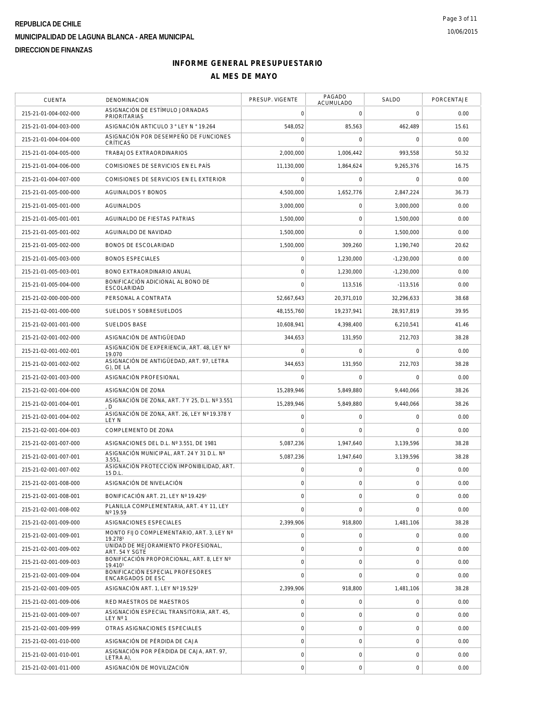| CUENTA                | DENOMINACION                                           | PRESUP. VIGENTE | PAGADO<br><b>ACUMULADO</b> | SALDO        | PORCENTAJE |
|-----------------------|--------------------------------------------------------|-----------------|----------------------------|--------------|------------|
| 215-21-01-004-002-000 | ASIGNACIÓN DE ESTÍMULO JORNADAS<br><b>PRIORITARIAS</b> | 0               | 0                          | $\mathbf 0$  | 0.00       |
| 215-21-01-004-003-000 | ASIGNACIÓN ARTICULO 3 ° LEY N ° 19.264                 | 548,052         | 85,563                     | 462,489      | 15.61      |
| 215-21-01-004-004-000 | ASIGNACIÓN POR DESEMPEÑO DE FUNCIONES<br>CRÍTICAS      | 0               | 0                          | $\circ$      | 0.00       |
| 215-21-01-004-005-000 | TRABAJOS EXTRAORDINARIOS                               | 2,000,000       | 1,006,442                  | 993,558      | 50.32      |
| 215-21-01-004-006-000 | COMISIONES DE SERVICIOS EN EL PAÍS                     | 11,130,000      | 1,864,624                  | 9,265,376    | 16.75      |
| 215-21-01-004-007-000 | COMISIONES DE SERVICIOS EN EL EXTERIOR                 | $\Omega$        | $\mathbf 0$                | $\mathbf 0$  | 0.00       |
| 215-21-01-005-000-000 | AGUINALDOS Y BONOS                                     | 4,500,000       | 1,652,776                  | 2,847,224    | 36.73      |
| 215-21-01-005-001-000 | AGUINALDOS                                             | 3,000,000       | $\mathbf 0$                | 3.000.000    | 0.00       |
| 215-21-01-005-001-001 | AGUINALDO DE FIESTAS PATRIAS                           | 1,500,000       | $\mathbf 0$                | 1,500,000    | 0.00       |
| 215-21-01-005-001-002 | AGUINALDO DE NAVIDAD                                   | 1,500,000       | $\mathbf 0$                | 1,500,000    | 0.00       |
| 215-21-01-005-002-000 | BONOS DE ESCOLARIDAD                                   | 1,500,000       | 309,260                    | 1,190,740    | 20.62      |
| 215-21-01-005-003-000 | <b>BONOS ESPECIALES</b>                                | $\overline{0}$  | 1,230,000                  | $-1,230,000$ | 0.00       |
| 215-21-01-005-003-001 | BONO EXTRAORDINARIO ANUAL                              | 0               | 1,230,000                  | $-1.230.000$ | 0.00       |
| 215-21-01-005-004-000 | BONIFICACIÓN ADICIONAL AL BONO DE<br>ESCOLARIDAD       | $\Omega$        | 113,516                    | $-113,516$   | 0.00       |
| 215-21-02-000-000-000 | PERSONAL A CONTRATA                                    | 52,667,643      | 20,371,010                 | 32,296,633   | 38.68      |
| 215-21-02-001-000-000 | SUELDOS Y SOBRESUELDOS                                 | 48,155,760      | 19,237,941                 | 28,917,819   | 39.95      |
| 215-21-02-001-001-000 | <b>SUELDOS BASE</b>                                    | 10,608,941      | 4,398,400                  | 6,210,541    | 41.46      |
| 215-21-02-001-002-000 | ASIGNACIÓN DE ANTIGÜEDAD                               | 344,653         | 131,950                    | 212,703      | 38.28      |
| 215-21-02-001-002-001 | ASIGNACIÓN DE EXPERIENCIA, ART. 48, LEY Nº<br>19.070   | $\Omega$        | 0                          | $\mathbf 0$  | 0.00       |
| 215-21-02-001-002-002 | ASIGNACIÓN DE ANTIGÜEDAD, ART. 97, LETRA<br>G), DE LA  | 344,653         | 131,950                    | 212,703      | 38.28      |
| 215-21-02-001-003-000 | ASIGNACIÓN PROFESIONAL                                 | 0               | $\mathbf 0$                | $\mathbf 0$  | 0.00       |
| 215-21-02-001-004-000 | ASIGNACIÓN DE ZONA                                     | 15,289,946      | 5,849,880                  | 9,440,066    | 38.26      |
| 215-21-02-001-004-001 | ASIGNACIÓN DE ZONA, ART. 7 Y 25, D.L. Nº 3.551<br>D    | 15,289,946      | 5,849,880                  | 9,440,066    | 38.26      |
| 215-21-02-001-004-002 | ASIGNACIÓN DE ZONA, ART. 26, LEY Nº 19.378 Y<br>LEY N  | 0               | 0                          | $\circ$      | 0.00       |
| 215-21-02-001-004-003 | COMPLEMENTO DE ZONA                                    | 0               | 0                          | $\mathbf 0$  | 0.00       |
| 215-21-02-001-007-000 | ASIGNACIONES DEL D.L. Nº 3.551, DE 1981                | 5,087,236       | 1,947,640                  | 3,139,596    | 38.28      |
| 215-21-02-001-007-001 | ASIGNACIÓN MUNICIPAL, ART. 24 Y 31 D.L. Nº<br>3.551    | 5,087,236       | 1,947,640                  | 3,139,596    | 38.28      |
| 215-21-02-001-007-002 | ASIGNACIÓN PROTECCIÓN IMPONIBILIDAD, ART.<br>15 D.L.   | 0               | 0                          | $\circ$      | 0.00       |
| 215-21-02-001-008-000 | ASIGNACIÓN DE NIVELACIÓN                               | $\circ$         | 0                          | $\mathbf 0$  | 0.00       |
| 215-21-02-001-008-001 | BONIFICACIÓN ART. 21, LEY Nº 19.4291                   | $\overline{0}$  | 0                          | $\mathbf 0$  | 0.00       |
| 215-21-02-001-008-002 | PLANILLA COMPLEMENTARIA, ART. 4 Y 11, LEY<br>Nº 19.59  | 0               | 0                          | $\mathbf 0$  | 0.00       |
| 215-21-02-001-009-000 | ASIGNACIONES ESPECIALES                                | 2,399,906       | 918,800                    | 1,481,106    | 38.28      |
| 215-21-02-001-009-001 | MONTO FIJO COMPLEMENTARIO, ART. 3, LEY Nº<br>19.2781   | $\overline{0}$  | $\mathbf 0$                | $\mathbf 0$  | 0.00       |
| 215-21-02-001-009-002 | UNIDAD DE MEJORAMIENTO PROFESIONAL.<br>ART. 54 Y SGTE  | 0               | 0                          | $\mathbf 0$  | 0.00       |
| 215-21-02-001-009-003 | BONIFICACIÓN PROPORCIONAL, ART. 8. LEY Nº<br>19.4101   | 0               | $\mathbf 0$                | $\mathbf{0}$ | 0.00       |
| 215-21-02-001-009-004 | BONIFICACIÓN ESPECIAL PROFESORES<br>ENCARGADOS DE ESC  | 0               | $\Omega$                   | $\mathbf{0}$ | 0.00       |
| 215-21-02-001-009-005 | ASIGNACIÓN ART. 1, LEY Nº 19.5291                      | 2,399,906       | 918,800                    | 1,481,106    | 38.28      |
| 215-21-02-001-009-006 | RED MAESTROS DE MAESTROS                               | $\overline{0}$  | $\mathbf 0$                | $\mathbf 0$  | 0.00       |
| 215-21-02-001-009-007 | ASIGNACIÓN ESPECIAL TRANSITORIA, ART. 45,<br>LEY Nº 1  | $\circ$         | $\mathbf 0$                | $\mathbf 0$  | 0.00       |
| 215-21-02-001-009-999 | OTRAS ASIGNACIONES ESPECIALES                          | 0               | $\mathbf 0$                | $\mathbf{0}$ | 0.00       |
| 215-21-02-001-010-000 | ASIGNACIÓN DE PÉRDIDA DE CAJA                          | $\overline{0}$  | $\mathbf 0$                | $\mathbf 0$  | 0.00       |
| 215-21-02-001-010-001 | ASIGNACIÓN POR PÉRDIDA DE CAJA, ART. 97,<br>LETRA A),  | $\overline{0}$  | 0                          | $\mathbf 0$  | 0.00       |
| 215-21-02-001-011-000 | ASIGNACIÓN DE MOVILIZACIÓN                             | 0               | 0                          | $\mathbf 0$  | 0.00       |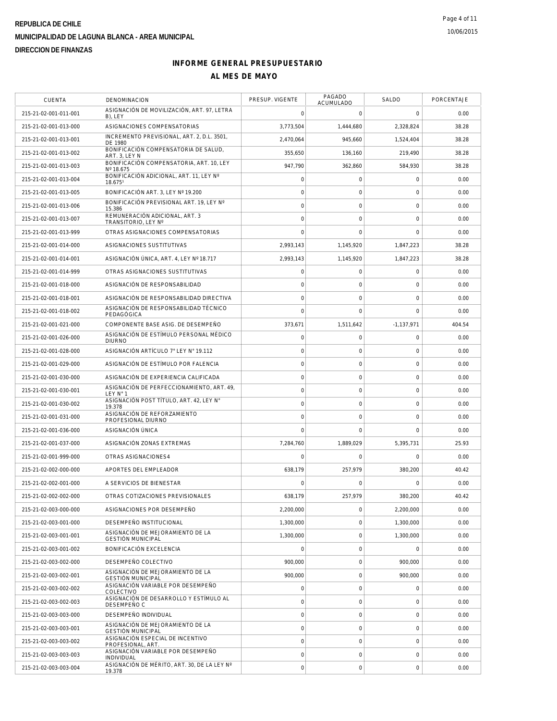| <b>CUENTA</b>         | DENOMINACION                                                 | PRESUP. VIGENTE | PAGADO<br>ACUMULADO | SALDO          | PORCENTAJE |
|-----------------------|--------------------------------------------------------------|-----------------|---------------------|----------------|------------|
| 215-21-02-001-011-001 | ASIGNACIÓN DE MOVILIZACIÓN, ART. 97, LETRA<br>B), LEY        | 0               | 0                   | $\mathbf 0$    | 0.00       |
| 215-21-02-001-013-000 | ASIGNACIONES COMPENSATORIAS                                  | 3,773,504       | 1,444,680           | 2,328,824      | 38.28      |
| 215-21-02-001-013-001 | INCREMENTO PREVISIONAL, ART. 2, D.L. 3501,<br>DE 1980        | 2,470,064       | 945.660             | 1,524,404      | 38.28      |
| 215-21-02-001-013-002 | BONIFICACIÓN COMPENSATORIA DE SALUD,<br>ART. 3. LEY N        | 355.650         | 136.160             | 219,490        | 38.28      |
| 215-21-02-001-013-003 | BONIFICACIÓN COMPENSATORIA, ART. 10, LEY<br>Nº 18.675        | 947,790         | 362,860             | 584,930        | 38.28      |
| 215-21-02-001-013-004 | BONIFICACIÓN ADICIONAL, ART. 11, LEY Nº<br>18.6751           | 0               | 0                   | $\mathbf 0$    | 0.00       |
| 215-21-02-001-013-005 | BONIFICACIÓN ART. 3, LEY Nº 19.200                           | 0               | $\mathsf{O}\xspace$ | $\mathbf 0$    | 0.00       |
| 215-21-02-001-013-006 | BONIFICACIÓN PREVISIONAL ART. 19, LEY Nº<br>15.386           | 0               | $\mathbf 0$         | $\mathbf 0$    | 0.00       |
| 215-21-02-001-013-007 | REMUNERACIÓN ADICIONAL, ART. 3<br>TRANSITORIO, LEY Nº        | $\circ$         | $\mathbf 0$         | $\mathbf 0$    | 0.00       |
| 215-21-02-001-013-999 | OTRAS ASIGNACIONES COMPENSATORIAS                            | $\overline{0}$  | $\mathbf 0$         | $\mathbf 0$    | 0.00       |
| 215-21-02-001-014-000 | ASIGNACIONES SUSTITUTIVAS                                    | 2,993,143       | 1,145,920           | 1,847,223      | 38.28      |
| 215-21-02-001-014-001 | ASIGNACIÓN ÚNICA, ART. 4, LEY Nº 18.717                      | 2,993,143       | 1,145,920           | 1,847,223      | 38.28      |
| 215-21-02-001-014-999 | OTRAS ASIGNACIONES SUSTITUTIVAS                              | $\overline{0}$  | 0                   | $\mathbf 0$    | 0.00       |
| 215-21-02-001-018-000 | ASIGNACIÓN DE RESPONSABILIDAD                                | 0               | $\mathbf 0$         | $\mathbf 0$    | 0.00       |
| 215-21-02-001-018-001 | ASIGNACIÓN DE RESPONSABILIDAD DIRECTIVA                      | $\overline{0}$  | 0                   | $\mathbf 0$    | 0.00       |
| 215-21-02-001-018-002 | ASIGNACIÓN DE RESPONSABILIDAD TÉCNICO<br>PEDAGÓGICA          | $\overline{0}$  | $\mathbf 0$         | $\mathbf{0}$   | 0.00       |
| 215-21-02-001-021-000 | COMPONENTE BASE ASIG. DE DESEMPEÑO                           | 373,671         | 1,511,642           | $-1, 137, 971$ | 404.54     |
| 215-21-02-001-026-000 | ASIGNACIÓN DE ESTÍMULO PERSONAL MÉDICO<br><b>DIURNO</b>      | 0               | 0                   | $\mathbf 0$    | 0.00       |
| 215-21-02-001-028-000 | ASIGNACIÓN ARTÍCULO 7° LEY N° 19.112                         | $\circ$         | $\mathbf 0$         | $\mathbf 0$    | 0.00       |
| 215-21-02-001-029-000 | ASIGNACIÓN DE ESTÍMULO POR FALENCIA                          | 0               | $\mathbf 0$         | $\mathbf 0$    | 0.00       |
| 215-21-02-001-030-000 | ASIGNACIÓN DE EXPERIENCIA CALIFICADA                         | 0               | $\mathsf{O}\xspace$ | $\mathbf 0$    | 0.00       |
| 215-21-02-001-030-001 | ASIGNACIÓN DE PERFECCIONAMIENTO, ART. 49,<br>LEY N° 1        | $\circ$         | 0                   | $\mathbf 0$    | 0.00       |
| 215-21-02-001-030-002 | ASIGNACIÓN POST TÍTULO, ART. 42, LEY N°<br>19.378            | 0               | 0                   | $\mathbf 0$    | 0.00       |
| 215-21-02-001-031-000 | ASIGNACIÓN DE REFORZAMIENTO<br>PROFESIONAL DIURNO            | $\overline{0}$  | $\mathbf 0$         | $\mathbf 0$    | 0.00       |
| 215-21-02-001-036-000 | ASIGNACIÓN ÚNICA                                             | 0               | $\mathbf 0$         | $\circ$        | 0.00       |
| 215-21-02-001-037-000 | ASIGNACIÓN ZONAS EXTREMAS                                    | 7,284,760       | 1,889,029           | 5,395,731      | 25.93      |
| 215-21-02-001-999-000 | OTRAS ASIGNACIONES4                                          | 0               | 0                   | $\mathbf 0$    | 0.00       |
| 215-21-02-002-000-000 | APORTES DEL EMPLEADOR                                        | 638,179         | 257,979             | 380,200        | 40.42      |
| 215-21-02-002-001-000 | A SERVICIOS DE BIENESTAR                                     | $\Omega$        | $\Omega$            | $\Omega$       | 0.00       |
| 215-21-02-002-002-000 | OTRAS COTIZACIONES PREVISIONALES                             | 638,179         | 257,979             | 380,200        | 40.42      |
| 215-21-02-003-000-000 | ASIGNACIONES POR DESEMPEÑO                                   | 2,200,000       | $\mathsf{O}\xspace$ | 2,200,000      | 0.00       |
| 215-21-02-003-001-000 | DESEMPEÑO INSTITUCIONAL                                      | 1,300,000       | $\mathbf 0$         | 1.300.000      | 0.00       |
| 215-21-02-003-001-001 | ASIGNACIÓN DE MEJORAMIENTO DE LA<br><b>GESTIÓN MUNICIPAL</b> | 1,300,000       | 0                   | 1,300,000      | 0.00       |
| 215-21-02-003-001-002 | BONIFICACIÓN EXCELENCIA                                      | $\circ$         | 0                   | $\mathbf 0$    | 0.00       |
| 215-21-02-003-002-000 | DESEMPEÑO COLECTIVO                                          | 900,000         | 0                   | 900.000        | 0.00       |
| 215-21-02-003-002-001 | ASIGNACIÓN DE MEJORAMIENTO DE LA<br><b>GESTIÓN MUNICIPAL</b> | 900,000         | $\mathsf{O}\xspace$ | 900,000        | 0.00       |
| 215-21-02-003-002-002 | ASIGNACIÓN VARIABLE POR DESEMPEÑO<br>COLECTIVO               | $\overline{0}$  | $\mathsf{O}\xspace$ | $\mathbf 0$    | 0.00       |
| 215-21-02-003-002-003 | ASIGNACIÓN DE DESARROLLO Y ESTÍMULO AL<br>DESEMPEÑO C        | 0               | 0                   | $\mathbf 0$    | 0.00       |
| 215-21-02-003-003-000 | DESEMPEÑO INDIVIDUAL                                         | $\circ$         | 0                   | $\mathbf 0$    | 0.00       |
| 215-21-02-003-003-001 | ASIGNACIÓN DE MEJORAMIENTO DE LA<br><b>GESTIÓN MUNICIPAL</b> | $\overline{O}$  | $\mathsf{O}\xspace$ | $\mathbf 0$    | 0.00       |
| 215-21-02-003-003-002 | ASIGNACIÓN ESPECIAL DE INCENTIVO<br>PROFESIONAL, ART.        | $\circ$         | 0                   | $\mathbf 0$    | 0.00       |
| 215-21-02-003-003-003 | ASIGNACIÓN VARIABLE POR DESEMPEÑO<br>INDIVIDUAL              | 0               | $\mathbf 0$         | $\mathbf 0$    | 0.00       |
| 215-21-02-003-003-004 | ASIGNACIÓN DE MÉRITO, ART. 30, DE LA LEY Nº<br>19.378        | 0               | $\mathsf{O}\xspace$ | $\mathbf 0$    | 0.00       |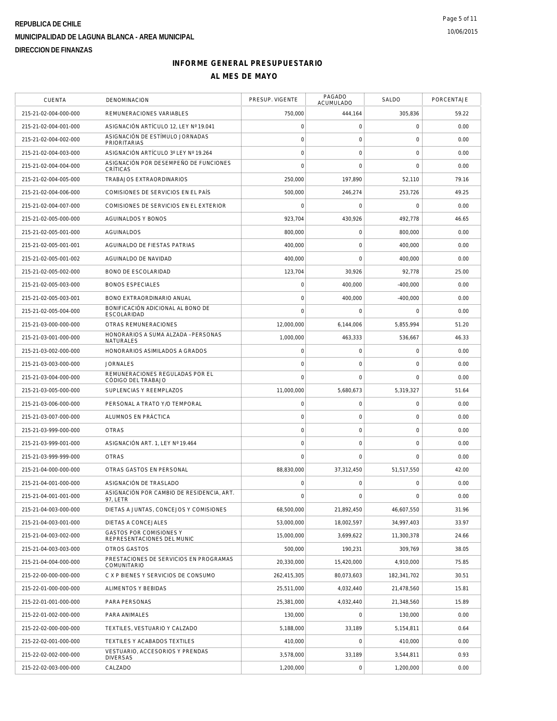| <b>CUENTA</b>         | DENOMINACION                                                 | PRESUP. VIGENTE | PAGADO<br><b>ACUMULADO</b> | <b>SALDO</b> | PORCENTAJE |
|-----------------------|--------------------------------------------------------------|-----------------|----------------------------|--------------|------------|
| 215-21-02-004-000-000 | REMUNERACIONES VARIABLES                                     | 750,000         | 444,164                    | 305,836      | 59.22      |
| 215-21-02-004-001-000 | ASIGNACIÓN ARTÍCULO 12. LEY Nº 19.041                        | $\mathbf 0$     | $\mathsf O$                | $\mathbf 0$  | 0.00       |
| 215-21-02-004-002-000 | ASIGNACIÓN DE ESTÍMULO JORNADAS<br><b>PRIORITARIAS</b>       | $\circ$         | $\mathbf 0$                | $\mathbf 0$  | 0.00       |
| 215-21-02-004-003-000 | ASIGNACIÓN ARTÍCULO 3º LEY Nº 19.264                         | $\mathbf 0$     | $\mathbf 0$                | $\mathbf 0$  | 0.00       |
| 215-21-02-004-004-000 | ASIGNACIÓN POR DESEMPEÑO DE FUNCIONES<br>CRÍTICAS            | $\bigcap$       | $\mathbf 0$                | $\Omega$     | 0.00       |
| 215-21-02-004-005-000 | TRABAJOS EXTRAORDINARIOS                                     | 250,000         | 197,890                    | 52,110       | 79.16      |
| 215-21-02-004-006-000 | COMISIONES DE SERVICIOS EN EL PAÍS                           | 500,000         | 246,274                    | 253,726      | 49.25      |
| 215-21-02-004-007-000 | COMISIONES DE SERVICIOS EN EL EXTERIOR                       | $\mathbf 0$     | $\mathsf O$                | $\mathbf 0$  | 0.00       |
| 215-21-02-005-000-000 | <b>AGUINALDOS Y BONOS</b>                                    | 923,704         | 430,926                    | 492,778      | 46.65      |
| 215-21-02-005-001-000 | AGUINALDOS                                                   | 800,000         | $\mathbf 0$                | 800,000      | 0.00       |
| 215-21-02-005-001-001 | AGUINALDO DE FIESTAS PATRIAS                                 | 400,000         | $\mathbf 0$                | 400,000      | 0.00       |
| 215-21-02-005-001-002 | AGUINALDO DE NAVIDAD                                         | 400,000         | $\mathbf 0$                | 400,000      | 0.00       |
| 215-21-02-005-002-000 | BONO DE ESCOLARIDAD                                          | 123,704         | 30,926                     | 92,778       | 25.00      |
| 215-21-02-005-003-000 | <b>BONOS ESPECIALES</b>                                      | $\mathbf 0$     | 400,000                    | $-400,000$   | 0.00       |
| 215-21-02-005-003-001 | BONO EXTRAORDINARIO ANUAL                                    | $\mathbf 0$     | 400,000                    | $-400,000$   | 0.00       |
| 215-21-02-005-004-000 | BONIFICACIÓN ADICIONAL AL BONO DE<br>ESCOLARIDAD             | $\mathbf 0$     | $\mathbf 0$                | $\mathbf 0$  | 0.00       |
| 215-21-03-000-000-000 | OTRAS REMUNERACIONES                                         | 12,000,000      | 6,144,006                  | 5,855,994    | 51.20      |
| 215-21-03-001-000-000 | HONORARIOS A SUMA ALZADA - PERSONAS<br><b>NATURALES</b>      | 1,000,000       | 463,333                    | 536,667      | 46.33      |
| 215-21-03-002-000-000 | HONORARIOS ASIMILADOS A GRADOS                               | $\mathbf 0$     | $\mathbf 0$                | $\mathbf 0$  | 0.00       |
| 215-21-03-003-000-000 | <b>JORNALES</b>                                              | $\mathbf 0$     | $\mathbf 0$                | $\mathbf 0$  | 0.00       |
| 215-21-03-004-000-000 | REMUNERACIONES REGULADAS POR EL<br>CÓDIGO DEL TRABAJO        | $\mathbf 0$     | $\mathbf 0$                | $\mathbf 0$  | 0.00       |
| 215-21-03-005-000-000 | SUPLENCIAS Y REEMPLAZOS                                      | 11,000,000      | 5,680,673                  | 5,319,327    | 51.64      |
| 215-21-03-006-000-000 | PERSONAL A TRATO Y/O TEMPORAL                                | $\mathbf 0$     | $\mathbf 0$                | $\mathbf 0$  | 0.00       |
| 215-21-03-007-000-000 | ALUMNOS EN PRÁCTICA                                          | $\circ$         | $\mathsf{O}\xspace$        | $\mathbf 0$  | 0.00       |
| 215-21-03-999-000-000 | <b>OTRAS</b>                                                 | $\mathbf 0$     | $\mathbf 0$                | 0            | 0.00       |
| 215-21-03-999-001-000 | ASIGNACIÓN ART. 1, LEY Nº 19.464                             | $\circ$         | $\mathbf 0$                | $\mathbf 0$  | 0.00       |
| 215-21-03-999-999-000 | <b>OTRAS</b>                                                 | $\mathbf 0$     | $\Omega$                   | $\mathbf 0$  | 0.00       |
| 215-21-04-000-000-000 | OTRAS GASTOS EN PERSONAL                                     | 88,830,000      | 37,312,450                 | 51,517,550   | 42.00      |
| 215-21-04-001-000-000 | ASIGNACIÓN DE TRASLADO                                       | $\mathbf 0$     | $\mathbf 0$                | $\Omega$     | 0.00       |
| 215-21-04-001-001-000 | ASIGNACIÓN POR CAMBIO DE RESIDENCIA, ART.<br>97, LETR        | $\mathbf 0$     | $\mathsf O$                | 0            | 0.00       |
| 215-21-04-003-000-000 | DIETAS A JUNTAS, CONCEJOS Y COMISIONES                       | 68,500,000      | 21,892,450                 | 46,607,550   | 31.96      |
| 215-21-04-003-001-000 | DIETAS A CONCEJALES                                          | 53,000,000      | 18,002,597                 | 34,997,403   | 33.97      |
| 215-21-04-003-002-000 | <b>GASTOS POR COMISIONES Y</b><br>REPRESENTACIONES DEL MUNIC | 15,000,000      | 3,699,622                  | 11,300,378   | 24.66      |
| 215-21-04-003-003-000 | <b>OTROS GASTOS</b>                                          | 500,000         | 190,231                    | 309,769      | 38.05      |
| 215-21-04-004-000-000 | PRESTACIONES DE SERVICIOS EN PROGRAMAS<br>COMUNITARIO        | 20,330,000      | 15,420,000                 | 4,910,000    | 75.85      |
| 215-22-00-000-000-000 | C X P BIENES Y SERVICIOS DE CONSUMO                          | 262,415,305     | 80,073,603                 | 182,341,702  | 30.51      |
| 215-22-01-000-000-000 | ALIMENTOS Y BEBIDAS                                          | 25,511,000      | 4,032,440                  | 21,478,560   | 15.81      |
| 215-22-01-001-000-000 | PARA PERSONAS                                                | 25,381,000      | 4,032,440                  | 21,348,560   | 15.89      |
| 215-22-01-002-000-000 | PARA ANIMALES                                                | 130,000         | $\mathsf O$                | 130,000      | 0.00       |
| 215-22-02-000-000-000 | TEXTILES, VESTUARIO Y CALZADO                                | 5,188,000       | 33,189                     | 5,154,811    | 0.64       |
| 215-22-02-001-000-000 | TEXTILES Y ACABADOS TEXTILES                                 | 410,000         | $\mathbf 0$                | 410,000      | 0.00       |
| 215-22-02-002-000-000 | VESTUARIO, ACCESORIOS Y PRENDAS<br><b>DIVERSAS</b>           | 3,578,000       | 33,189                     | 3,544,811    | 0.93       |
| 215-22-02-003-000-000 | CALZADO                                                      | 1,200,000       | $\boldsymbol{0}$           | 1,200,000    | 0.00       |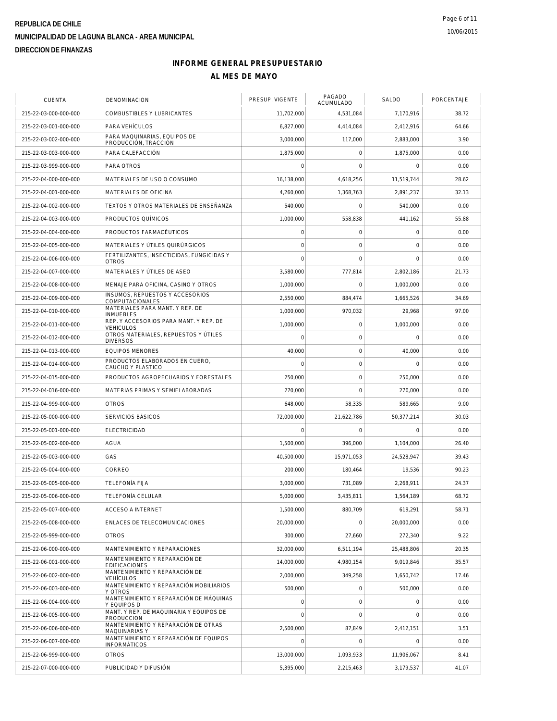| CUENTA                | <b>DENOMINACION</b>                                          | PRESUP. VIGENTE     | PAGADO<br>ACUMULADO | SALDO               | PORCENTAJE |
|-----------------------|--------------------------------------------------------------|---------------------|---------------------|---------------------|------------|
| 215-22-03-000-000-000 | COMBUSTIBLES Y LUBRICANTES                                   | 11,702,000          | 4,531,084           | 7,170,916           | 38.72      |
| 215-22-03-001-000-000 | PARA VEHÍCULOS                                               | 6.827.000           | 4,414,084           | 2,412,916           | 64.66      |
| 215-22-03-002-000-000 | PARA MAQUINARIAS, EQUIPOS DE<br>PRODUCCIÓN, TRACCIÓN         | 3,000,000           | 117.000             | 2,883,000           | 3.90       |
| 215-22-03-003-000-000 | PARA CALEFACCIÓN                                             | 1,875,000           | $\mathbf 0$         | 1,875,000           | 0.00       |
| 215-22-03-999-000-000 | PARA OTROS                                                   | $\mathbf 0$         | $\mathbf 0$         | $\Omega$            | 0.00       |
| 215-22-04-000-000-000 | MATERIALES DE USO O CONSUMO                                  | 16,138,000          | 4,618,256           | 11,519,744          | 28.62      |
| 215-22-04-001-000-000 | MATERIALES DE OFICINA                                        | 4,260,000           | 1,368,763           | 2,891,237           | 32.13      |
| 215-22-04-002-000-000 | TEXTOS Y OTROS MATERIALES DE ENSEÑANZA                       | 540,000             | $\mathbf 0$         | 540,000             | 0.00       |
| 215-22-04-003-000-000 | PRODUCTOS OUÍMICOS                                           | 1,000,000           | 558,838             | 441,162             | 55.88      |
| 215-22-04-004-000-000 | PRODUCTOS FARMACÉUTICOS                                      | $\mathbf 0$         | 0                   | $\mathsf{O}\xspace$ | 0.00       |
| 215-22-04-005-000-000 | MATERIALES Y ÚTILES QUIRÚRGICOS                              | $\mathbf 0$         | 0                   | 0                   | 0.00       |
| 215-22-04-006-000-000 | FERTILIZANTES, INSECTICIDAS, FUNGICIDAS Y<br><b>OTROS</b>    | $\overline{0}$      | $\mathbf 0$         | $\mathbf 0$         | 0.00       |
| 215-22-04-007-000-000 | MATERIALES Y ÚTILES DE ASEO                                  | 3,580,000           | 777,814             | 2,802,186           | 21.73      |
| 215-22-04-008-000-000 | MENAJE PARA OFICINA, CASINO Y OTROS                          | 1,000,000           | $\Omega$            | 1,000,000           | 0.00       |
| 215-22-04-009-000-000 | INSUMOS, REPUESTOS Y ACCESORIOS<br>COMPUTACIONALES           | 2,550,000           | 884.474             | 1.665.526           | 34.69      |
| 215-22-04-010-000-000 | MATERIALES PARA MANT. Y REP. DE<br><b>INMUEBLES</b>          | 1,000,000           | 970,032             | 29,968              | 97.00      |
| 215-22-04-011-000-000 | REP. Y ACCESORIOS PARA MANT. Y REP. DE<br><b>VEHICULOS</b>   | 1.000.000           | 0                   | 1,000,000           | 0.00       |
| 215-22-04-012-000-000 | OTROS MATERIALES, REPUESTOS Y ÚTILES<br><b>DIVERSOS</b>      | $\mathbf 0$         | $\mathsf{O}\xspace$ | $\mathbf 0$         | 0.00       |
| 215-22-04-013-000-000 | <b>EQUIPOS MENORES</b>                                       | 40,000              | $\mathsf{O}\xspace$ | 40,000              | 0.00       |
| 215-22-04-014-000-000 | PRODUCTOS ELABORADOS EN CUERO.<br>CAUCHO Y PLASTICO          | $\mathbf 0$         | $\mathbf 0$         | $\mathbf 0$         | 0.00       |
| 215-22-04-015-000-000 | PRODUCTOS AGROPECUARIOS Y FORESTALES                         | 250,000             | $\mathbf 0$         | 250,000             | 0.00       |
| 215-22-04-016-000-000 | MATERIAS PRIMAS Y SEMIELABORADAS                             | 270,000             | $\mathbf 0$         | 270,000             | 0.00       |
| 215-22-04-999-000-000 | <b>OTROS</b>                                                 | 648,000             | 58,335              | 589,665             | 9.00       |
| 215-22-05-000-000-000 | SERVICIOS BÁSICOS                                            | 72,000,000          | 21,622,786          | 50,377,214          | 30.03      |
| 215-22-05-001-000-000 | <b>ELECTRICIDAD</b>                                          | $\mathbf 0$         | $\mathbf 0$         | $\mathbf 0$         | 0.00       |
| 215-22-05-002-000-000 | <b>AGUA</b>                                                  | 1,500,000           | 396,000             | 1,104,000           | 26.40      |
| 215-22-05-003-000-000 | GAS                                                          | 40.500.000          | 15,971,053          | 24.528.947          | 39.43      |
| 215-22-05-004-000-000 | CORREO                                                       | 200,000             | 180,464             | 19,536              | 90.23      |
| 215-22-05-005-000-000 | <b>TELEFONÍA FIJA</b>                                        | 3,000,000           | 731,089             | 2,268,911           | 24.37      |
| 215-22-05-006-000-000 | TELEFONÍA CELULAR                                            | 5,000,000           | 3,435,811           | 1,564,189           | 68.72      |
| 215-22-05-007-000-000 | <b>ACCESO A INTERNET</b>                                     | 1.500.000           | 880.709             | 619,291             | 58.71      |
| 215-22-05-008-000-000 | ENLACES DE TELECOMUNICACIONES                                | 20,000,000          | $\mathbf 0$         | 20,000,000          | 0.00       |
| 215-22-05-999-000-000 | <b>OTROS</b>                                                 | 300,000             | 27,660              | 272,340             | 9.22       |
| 215-22-06-000-000-000 | MANTENIMIENTO Y REPARACIONES                                 | 32.000.000          | 6,511,194           | 25,488,806          | 20.35      |
| 215-22-06-001-000-000 | MANTENIMIENTO Y REPARACIÓN DE<br><b>EDIFICACIONES</b>        | 14,000,000          | 4,980,154           | 9,019,846           | 35.57      |
| 215-22-06-002-000-000 | MANTENIMIENTO Y REPARACIÓN DE<br><b>VEHÍCULOS</b>            | 2.000.000           | 349,258             | 1,650,742           | 17.46      |
| 215-22-06-003-000-000 | MANTENIMIENTO Y REPARACIÓN MOBILIARIOS<br>Y OTROS            | 500,000             | $\mathbf{0}$        | 500,000             | 0.00       |
| 215-22-06-004-000-000 | MANTENIMIENTO Y REPARACIÓN DE MÁQUINAS<br>Y EQUIPOS D        | $\mathsf{O}\xspace$ | $\mathsf{O}\xspace$ | 0                   | 0.00       |
| 215-22-06-005-000-000 | MANT. Y REP. DE MAQUINARIA Y EQUIPOS DE<br><b>PRODUCCION</b> | $\mathbf 0$         | $\mathsf{O}\xspace$ | 0                   | 0.00       |
| 215-22-06-006-000-000 | MANTENIMIENTO Y REPARACIÓN DE OTRAS<br>MAQUINARIAS Y         | 2,500,000           | 87,849              | 2,412,151           | 3.51       |
| 215-22-06-007-000-000 | MANTENIMIENTO Y REPARACIÓN DE EQUIPOS<br><b>INFORMÁTICOS</b> | $\overline{0}$      | $\mathbf 0$         | $\mathbf 0$         | 0.00       |
| 215-22-06-999-000-000 | <b>OTROS</b>                                                 | 13,000,000          | 1,093,933           | 11,906,067          | 8.41       |
| 215-22-07-000-000-000 | PUBLICIDAD Y DIFUSIÓN                                        | 5,395,000           | 2,215,463           | 3,179,537           | 41.07      |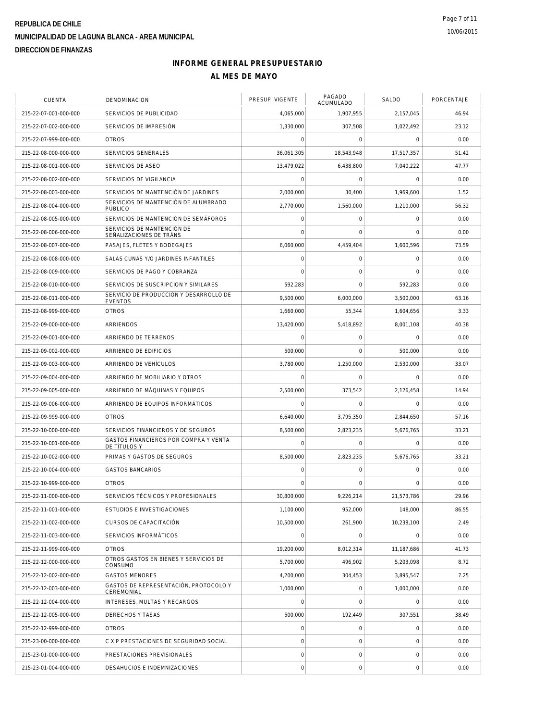| CUENTA                | DENOMINACION                                             | PRESUP. VIGENTE | PAGADO<br>ACUMULADO | SALDO               | PORCENTAJE |
|-----------------------|----------------------------------------------------------|-----------------|---------------------|---------------------|------------|
| 215-22-07-001-000-000 | SERVICIOS DE PUBLICIDAD                                  | 4,065,000       | 1,907,955           | 2,157,045           | 46.94      |
| 215-22-07-002-000-000 | SERVICIOS DE IMPRESIÓN                                   | 1,330,000       | 307,508             | 1,022,492           | 23.12      |
| 215-22-07-999-000-000 | <b>OTROS</b>                                             | 0               | 0                   | $\mathbf 0$         | 0.00       |
| 215-22-08-000-000-000 | <b>SERVICIOS GENERALES</b>                               | 36,061,305      | 18,543,948          | 17,517,357          | 51.42      |
| 215-22-08-001-000-000 | SERVICIOS DE ASEO                                        | 13,479,022      | 6,438,800           | 7,040,222           | 47.77      |
| 215-22-08-002-000-000 | SERVICIOS DE VIGILANCIA                                  | 0               | $\mathsf{O}\xspace$ | $\mathbf 0$         | 0.00       |
| 215-22-08-003-000-000 | SERVICIOS DE MANTENCIÓN DE JARDINES                      | 2,000,000       | 30,400              | 1,969,600           | 1.52       |
| 215-22-08-004-000-000 | SERVICIOS DE MANTENCIÓN DE ALUMBRADO<br>PÚBLICO          | 2,770,000       | 1,560,000           | 1,210,000           | 56.32      |
| 215-22-08-005-000-000 | SERVICIOS DE MANTENCIÓN DE SEMÁFOROS                     | 0               | 0                   | $\mathsf{O}\xspace$ | 0.00       |
| 215-22-08-006-000-000 | SERVICIOS DE MANTENCIÓN DE<br>SEÑALIZACIONES DE TRÁNS    | 0               | 0                   | 0                   | 0.00       |
| 215-22-08-007-000-000 | PASAJES, FLETES Y BODEGAJES                              | 6,060,000       | 4,459,404           | 1,600,596           | 73.59      |
| 215-22-08-008-000-000 | SALAS CUNAS Y/O JARDINES INFANTILES                      | 0               | 0                   | 0                   | 0.00       |
| 215-22-08-009-000-000 | SERVICIOS DE PAGO Y COBRANZA                             | 0               | $\mathbf 0$         | $\mathbf 0$         | 0.00       |
| 215-22-08-010-000-000 | SERVICIOS DE SUSCRIPCION Y SIMILARES                     | 592,283         | $\mathbf 0$         | 592,283             | 0.00       |
| 215-22-08-011-000-000 | SERVICIO DE PRODUCCION Y DESARROLLO DE<br><b>EVENTOS</b> | 9,500,000       | 6,000,000           | 3,500,000           | 63.16      |
| 215-22-08-999-000-000 | <b>OTROS</b>                                             | 1.660.000       | 55,344              | 1,604,656           | 3.33       |
| 215-22-09-000-000-000 | ARRIENDOS                                                | 13,420,000      | 5,418,892           | 8,001,108           | 40.38      |
| 215-22-09-001-000-000 | ARRIENDO DE TERRENOS                                     | 0               | 0                   | $\mathbf 0$         | 0.00       |
| 215-22-09-002-000-000 | ARRIENDO DE EDIFICIOS                                    | 500,000         | $\mathbf 0$         | 500.000             | 0.00       |
| 215-22-09-003-000-000 | ARRIENDO DE VEHÍCULOS                                    | 3,780,000       | 1,250,000           | 2,530,000           | 33.07      |
| 215-22-09-004-000-000 | ARRIENDO DE MOBILIARIO Y OTROS                           | 0               | 0                   | $\mathbf 0$         | 0.00       |
| 215-22-09-005-000-000 | ARRIENDO DE MÁQUINAS Y EQUIPOS                           | 2,500,000       | 373,542             | 2,126,458           | 14.94      |
| 215-22-09-006-000-000 | ARRIENDO DE EQUIPOS INFORMÁTICOS                         | 0               | $\mathbf 0$         | $\mathbf 0$         | 0.00       |
| 215-22-09-999-000-000 | <b>OTROS</b>                                             | 6,640,000       | 3,795,350           | 2,844,650           | 57.16      |
| 215-22-10-000-000-000 | SERVICIOS FINANCIEROS Y DE SEGUROS                       | 8,500,000       | 2,823,235           | 5,676,765           | 33.21      |
| 215-22-10-001-000-000 | GASTOS FINANCIEROS POR COMPRA Y VENTA<br>DE TÍTULOS Y    | 0               | $\mathsf{O}\xspace$ | $\mathbf 0$         | 0.00       |
| 215-22-10-002-000-000 | PRIMAS Y GASTOS DE SEGUROS                               | 8,500,000       | 2,823,235           | 5,676,765           | 33.21      |
| 215-22-10-004-000-000 | <b>GASTOS BANCARIOS</b>                                  | 0               | 0                   | 0                   | 0.00       |
| 215-22-10-999-000-000 | <b>OTROS</b>                                             | $\Omega$        | $\Omega$            | 0                   | 0.00       |
| 215-22-11-000-000-000 | SERVICIOS TÉCNICOS Y PROFESIONALES                       | 30,800,000      | 9,226,214           | 21,573,786          | 29.96      |
| 215-22-11-001-000-000 | ESTUDIOS E INVESTIGACIONES                               | 1,100,000       | 952.000             | 148,000             | 86.55      |
| 215-22-11-002-000-000 | CURSOS DE CAPACITACIÓN                                   | 10.500.000      | 261,900             | 10,238,100          | 2.49       |
| 215-22-11-003-000-000 | SERVICIOS INFORMÁTICOS                                   | 0               | 0                   | $\mathbf 0$         | 0.00       |
| 215-22-11-999-000-000 | <b>OTROS</b>                                             | 19,200,000      | 8,012,314           | 11.187.686          | 41.73      |
| 215-22-12-000-000-000 | OTROS GASTOS EN BIENES Y SERVICIOS DE<br>CONSUMO         | 5,700,000       | 496.902             | 5,203,098           | 8.72       |
| 215-22-12-002-000-000 | <b>GASTOS MENORES</b>                                    | 4,200,000       | 304,453             | 3,895,547           | 7.25       |
| 215-22-12-003-000-000 | GASTOS DE REPRESENTACIÓN, PROTOCOLO Y<br>CEREMONIAL      | 1,000,000       | 0                   | 1.000.000           | 0.00       |
| 215-22-12-004-000-000 | INTERESES, MULTAS Y RECARGOS                             | 0               | $\mathbf 0$         | $\mathbf 0$         | 0.00       |
| 215-22-12-005-000-000 | DERECHOS Y TASAS                                         | 500.000         | 192,449             | 307,551             | 38.49      |
| 215-22-12-999-000-000 | <b>OTROS</b>                                             | $\overline{0}$  | 0                   | 0                   | 0.00       |
| 215-23-00-000-000-000 | C X P PRESTACIONES DE SEGURIDAD SOCIAL                   | 0               | 0                   | 0                   | 0.00       |
| 215-23-01-000-000-000 | PRESTACIONES PREVISIONALES                               | 0               | 0                   | 0                   | 0.00       |
| 215-23-01-004-000-000 | DESAHUCIOS E INDEMNIZACIONES                             | $\circ$         | $\mathsf{O}\xspace$ | $\mathbf 0$         | 0.00       |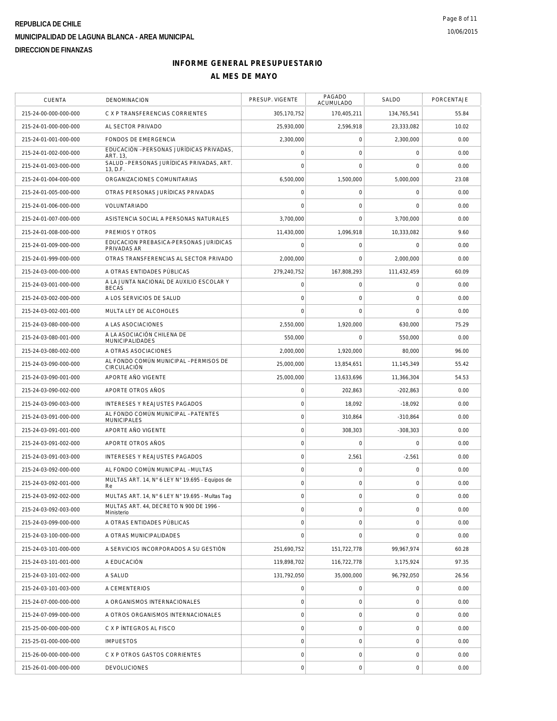| <b>CUENTA</b>         | DENOMINACION                                             | PRESUP. VIGENTE     | PAGADO<br><b>ACUMULADO</b> | SALDO       | PORCENTAJE |
|-----------------------|----------------------------------------------------------|---------------------|----------------------------|-------------|------------|
| 215-24-00-000-000-000 | C X P TRANSFERENCIAS CORRIENTES                          | 305,170,752         | 170,405,211                | 134,765,541 | 55.84      |
| 215-24-01-000-000-000 | AL SECTOR PRIVADO                                        | 25.930.000          | 2,596,918                  | 23,333,082  | 10.02      |
| 215-24-01-001-000-000 | FONDOS DE EMERGENCIA                                     | 2.300.000           | $\mathbf 0$                | 2,300,000   | 0.00       |
| 215-24-01-002-000-000 | EDUCACIÓN - PERSONAS JURÍDICAS PRIVADAS,<br>ART. 13.     | $\mathsf{O}\xspace$ | $\mathsf O$                | $\mathbf 0$ | 0.00       |
| 215-24-01-003-000-000 | SALUD - PERSONAS JURÍDICAS PRIVADAS, ART.<br>13, D.F.    | 0                   | 0                          | $\mathbf 0$ | 0.00       |
| 215-24-01-004-000-000 | ORGANIZACIONES COMUNITARIAS                              | 6,500,000           | 1,500,000                  | 5,000,000   | 23.08      |
| 215-24-01-005-000-000 | OTRAS PERSONAS JURÍDICAS PRIVADAS                        | 0                   | $\mathsf O$                | $\mathbf 0$ | 0.00       |
| 215-24-01-006-000-000 | VOLUNTARIADO                                             | $\mathbf 0$         | $\mathbf 0$                | $\mathbf 0$ | 0.00       |
| 215-24-01-007-000-000 | ASISTENCIA SOCIAL A PERSONAS NATURALES                   | 3.700.000           | 0                          | 3.700.000   | 0.00       |
| 215-24-01-008-000-000 | PREMIOS Y OTROS                                          | 11,430,000          | 1,096,918                  | 10,333,082  | 9.60       |
| 215-24-01-009-000-000 | EDUCACION PREBASICA-PERSONAS JURIDICAS<br>PRIVADAS AR    | $\mathsf{O}\xspace$ | 0                          | $\mathbf 0$ | 0.00       |
| 215-24-01-999-000-000 | OTRAS TRANSFERENCIAS AL SECTOR PRIVADO                   | 2,000,000           | 0                          | 2,000,000   | 0.00       |
| 215-24-03-000-000-000 | A OTRAS ENTIDADES PÚBLICAS                               | 279,240,752         | 167,808,293                | 111,432,459 | 60.09      |
| 215-24-03-001-000-000 | A LA JUNTA NACIONAL DE AUXILIO ESCOLAR Y<br><b>BECAS</b> | $\mathsf{O}\xspace$ | $\mathbf 0$                | $\mathbf 0$ | 0.00       |
| 215-24-03-002-000-000 | A LOS SERVICIOS DE SALUD                                 | $\mathbf 0$         | $\mathbf 0$                | $\mathbf 0$ | 0.00       |
| 215-24-03-002-001-000 | MULTA LEY DE ALCOHOLES                                   | $\mathbf 0$         | $\mathbf 0$                | $\mathbf 0$ | 0.00       |
| 215-24-03-080-000-000 | A LAS ASOCIACIONES                                       | 2,550,000           | 1,920,000                  | 630,000     | 75.29      |
| 215-24-03-080-001-000 | A LA ASOCIACIÓN CHILENA DE                               | 550,000             | $\mathbf 0$                | 550,000     | 0.00       |
| 215-24-03-080-002-000 | <b>MUNICIPALIDADES</b><br>A OTRAS ASOCIACIONES           | 2,000,000           | 1.920.000                  | 80,000      | 96.00      |
| 215-24-03-090-000-000 | AL FONDO COMÚN MUNICIPAL - PERMISOS DE                   | 25,000,000          | 13,854,651                 | 11,145,349  | 55.42      |
| 215-24-03-090-001-000 | CIRCULACIÓN<br>APORTE AÑO VIGENTE                        | 25,000,000          | 13,633,696                 | 11,366,304  | 54.53      |
| 215-24-03-090-002-000 | APORTE OTROS AÑOS                                        | $\mathsf{O}\xspace$ | 202,863                    | $-202,863$  | 0.00       |
| 215-24-03-090-003-000 | INTERESES Y REAJUSTES PAGADOS                            | $\mathsf{O}\xspace$ | 18,092                     | $-18,092$   | 0.00       |
| 215-24-03-091-000-000 | AL FONDO COMÚN MUNICIPAL - PATENTES                      | $\mathsf{O}\xspace$ | 310,864                    | $-310,864$  | 0.00       |
| 215-24-03-091-001-000 | <b>MUNICIPALES</b><br>APORTE AÑO VIGENTE                 | $\mathsf{O}\xspace$ | 308,303                    | $-308,303$  | 0.00       |
| 215-24-03-091-002-000 | APORTE OTROS AÑOS                                        | $\mathbf 0$         | 0                          | $\mathbf 0$ | 0.00       |
| 215-24-03-091-003-000 | <b>INTERESES Y REAJUSTES PAGADOS</b>                     | $\mathsf{O}\xspace$ | 2,561                      | $-2,561$    | 0.00       |
| 215-24-03-092-000-000 | AL FONDO COMÚN MUNICIPAL - MULTAS                        | $\mathsf{O}\xspace$ | $\mathsf O$                | $\mathbf 0$ | 0.00       |
| 215-24-03-092-001-000 | MULTAS ART. 14, N° 6 LEY N° 19.695 - Equipos de          | $\mathsf{O}\xspace$ | 0                          | $\mathbf 0$ | 0.00       |
| 215-24-03-092-002-000 | Re<br>MULTAS ART. 14, N° 6 LEY N° 19.695 - Multas Tag    | 0                   | $\mathsf O$                | $\mathbf 0$ | 0.00       |
| 215-24-03-092-003-000 | MULTAS ART. 44, DECRETO N 900 DE 1996 -                  | 0                   | $\boldsymbol{0}$           | $\mathbf 0$ | 0.00       |
| 215-24-03-099-000-000 | Ministerio<br>A OTRAS ENTIDADES PÚBLICAS                 | 0                   | 0                          | $\mathbf 0$ | 0.00       |
| 215-24-03-100-000-000 | A OTRAS MUNICIPALIDADES                                  | $\mathbf 0$         | 0                          | $\mathbf 0$ | 0.00       |
| 215-24-03-101-000-000 | A SERVICIOS INCORPORADOS A SU GESTIÓN                    | 251,690,752         | 151,722,778                | 99,967,974  | 60.28      |
| 215-24-03-101-001-000 | A EDUCACIÓN                                              | 119,898,702         | 116.722.778                | 3,175,924   | 97.35      |
| 215-24-03-101-002-000 | A SALUD                                                  | 131,792,050         | 35,000,000                 | 96,792,050  | 26.56      |
| 215-24-03-101-003-000 | A CEMENTERIOS                                            | 0                   | 0                          | $\mathbf 0$ | 0.00       |
| 215-24-07-000-000-000 | A ORGANISMOS INTERNACIONALES                             | $\mathsf{O}\xspace$ | 0                          | $\mathbf 0$ | 0.00       |
| 215-24-07-099-000-000 | A OTROS ORGANISMOS INTERNACIONALES                       | $\mathsf{O}\xspace$ | 0                          | $\mathbf 0$ | 0.00       |
|                       |                                                          | 0                   | $\mathsf O$                | $\mathbf 0$ | 0.00       |
| 215-25-00-000-000-000 | C X P INTEGROS AL FISCO                                  |                     |                            |             |            |
| 215-25-01-000-000-000 | <b>IMPUESTOS</b>                                         | $\mathsf{O}\xspace$ | 0                          | $\mathbf 0$ | 0.00       |
| 215-26-00-000-000-000 | C X P OTROS GASTOS CORRIENTES                            | $\overline{0}$      | $\mathsf O$                | $\mathbf 0$ | 0.00       |
| 215-26-01-000-000-000 | <b>DEVOLUCIONES</b>                                      | 0                   | $\boldsymbol{0}$           | $\mathbf 0$ | 0.00       |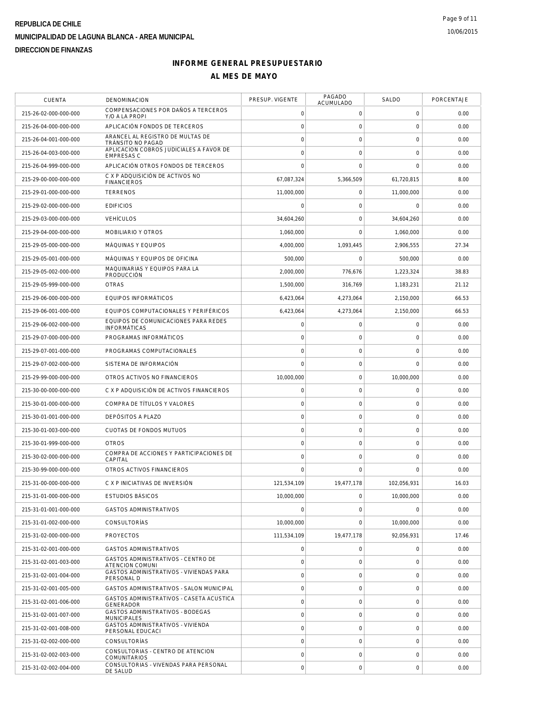| <b>CUENTA</b>         | DENOMINACION                                                  | PRESUP. VIGENTE     | PAGADO<br><b>ACUMULADO</b> | SALDO               | PORCENTAJE |
|-----------------------|---------------------------------------------------------------|---------------------|----------------------------|---------------------|------------|
| 215-26-02-000-000-000 | COMPENSACIONES POR DAÑOS A TERCEROS<br>Y/O A LA PROPI         | $\mathbf 0$         | 0                          | 0                   | 0.00       |
| 215-26-04-000-000-000 | APLICACIÓN FONDOS DE TERCEROS                                 | $\mathbf 0$         | $\mathsf{O}\xspace$        | $\mathsf 0$         | 0.00       |
| 215-26-04-001-000-000 | ARANCEL AL REGISTRO DE MULTAS DE<br>TRÁNSITO NO PAGAD         | $\mathbf 0$         | 0                          | 0                   | 0.00       |
| 215-26-04-003-000-000 | APLICACION COBROS JUDICIALES A FAVOR DE<br><b>EMPRESAS C</b>  | $\mathbf 0$         | $\mathbf 0$                | 0                   | 0.00       |
| 215-26-04-999-000-000 | APLICACIÓN OTROS FONDOS DE TERCEROS                           | $\overline{0}$      | $\mathbf 0$                | $\mathbf 0$         | 0.00       |
| 215-29-00-000-000-000 | C X P ADQUISICIÓN DE ACTIVOS NO<br><b>FINANCIEROS</b>         | 67,087,324          | 5,366,509                  | 61,720,815          | 8.00       |
| 215-29-01-000-000-000 | <b>TERRENOS</b>                                               | 11,000,000          | 0                          | 11,000,000          | 0.00       |
| 215-29-02-000-000-000 | <b>EDIFICIOS</b>                                              | $\mathbf 0$         | 0                          | 0                   | 0.00       |
| 215-29-03-000-000-000 | <b>VEHÍCULOS</b>                                              | 34,604,260          | 0                          | 34,604,260          | 0.00       |
| 215-29-04-000-000-000 | MOBILIARIO Y OTROS                                            | 1,060,000           | $\mathbf 0$                | 1,060,000           | 0.00       |
| 215-29-05-000-000-000 | MÁQUINAS Y EQUIPOS                                            | 4,000,000           | 1,093,445                  | 2,906,555           | 27.34      |
| 215-29-05-001-000-000 | MÁQUINAS Y EQUIPOS DE OFICINA                                 | 500,000             | 0                          | 500,000             | 0.00       |
| 215-29-05-002-000-000 | MAQUINARIAS Y EQUIPOS PARA LA<br>PRODUCCIÓN                   | 2,000,000           | 776,676                    | 1,223,324           | 38.83      |
| 215-29-05-999-000-000 | <b>OTRAS</b>                                                  | 1,500,000           | 316,769                    | 1,183,231           | 21.12      |
| 215-29-06-000-000-000 | EQUIPOS INFORMÁTICOS                                          | 6,423,064           | 4,273,064                  | 2,150,000           | 66.53      |
| 215-29-06-001-000-000 | EQUIPOS COMPUTACIONALES Y PERIFÉRICOS                         | 6,423,064           | 4,273,064                  | 2,150,000           | 66.53      |
| 215-29-06-002-000-000 | EQUIPOS DE COMUNICACIONES PARA REDES<br><b>INFORMÁTICAS</b>   | $\mathsf{O}\xspace$ | 0                          | 0                   | 0.00       |
| 215-29-07-000-000-000 | PROGRAMAS INFORMÁTICOS                                        | $\mathsf{O}\xspace$ | 0                          | 0                   | 0.00       |
| 215-29-07-001-000-000 | PROGRAMAS COMPUTACIONALES                                     | $\mathsf{O}\xspace$ | 0                          | $\mathsf{O}\xspace$ | 0.00       |
| 215-29-07-002-000-000 | SISTEMA DE INFORMACIÓN                                        | $\overline{0}$      | $\mathbf 0$                | 0                   | 0.00       |
| 215-29-99-000-000-000 | OTROS ACTIVOS NO FINANCIEROS                                  | 10,000,000          | $\mathsf{O}\xspace$        | 10,000,000          | 0.00       |
| 215-30-00-000-000-000 | C X P ADQUISICIÓN DE ACTIVOS FINANCIEROS                      | $\mathbf 0$         | 0                          | 0                   | 0.00       |
| 215-30-01-000-000-000 | COMPRA DE TÍTULOS Y VALORES                                   | $\mathbf 0$         | 0                          | 0                   | 0.00       |
| 215-30-01-001-000-000 | DEPÓSITOS A PLAZO                                             | $\mathsf{O}\xspace$ | $\mathsf{O}\xspace$        | $\mathbf 0$         | 0.00       |
| 215-30-01-003-000-000 | CUOTAS DE FONDOS MUTUOS                                       | $\mathsf{O}\xspace$ | 0                          | $\mathsf{O}\xspace$ | 0.00       |
| 215-30-01-999-000-000 | <b>OTROS</b>                                                  | $\mathbf 0$         | $\mathsf{O}\xspace$        | 0                   | 0.00       |
| 215-30-02-000-000-000 | COMPRA DE ACCIONES Y PARTICIPACIONES DE<br>CAPITAL            | $\mathbf 0$         | $\mathsf{O}\xspace$        | 0                   | 0.00       |
| 215-30-99-000-000-000 | OTROS ACTIVOS FINANCIEROS                                     | $\mathbf 0$         | $\mathbf 0$                | $\mathbf 0$         | 0.00       |
| 215-31-00-000-000-000 | C X P INICIATIVAS DE INVERSIÓN                                | 121,534,109         | 19,477,178                 | 102,056,931         | 16.03      |
| 215-31-01-000-000-000 | <b>ESTUDIOS BÁSICOS</b>                                       | 10,000,000          | 0                          | 10,000,000          | 0.00       |
| 215-31-01-001-000-000 | <b>GASTOS ADMINISTRATIVOS</b>                                 | $\mathsf{O}\xspace$ | 0                          | $\mathbf 0$         | 0.00       |
| 215-31-01-002-000-000 | <b>CONSULTORÍAS</b>                                           | 10,000,000          | $\mathbf{0}$               | 10,000,000          | 0.00       |
| 215-31-02-000-000-000 | <b>PROYECTOS</b>                                              | 111,534,109         | 19,477,178                 | 92,056,931          | 17.46      |
| 215-31-02-001-000-000 | <b>GASTOS ADMINISTRATIVOS</b>                                 | $\mathbf 0$         | 0                          | 0                   | 0.00       |
| 215-31-02-001-003-000 | GASTOS ADMINISTRATIVOS - CENTRO DE<br>ATENCION COMUNI         | $\overline{0}$      | $\mathbf 0$                | $\overline{0}$      | 0.00       |
| 215-31-02-001-004-000 | GASTOS ADMINISTRATIVOS - VIVIENDAS PARA<br>PERSONAL D         | $\mathsf{O}\xspace$ | $\mathsf{O}\xspace$        | 0                   | 0.00       |
| 215-31-02-001-005-000 | GASTOS ADMINISTRATIVOS - SALON MUNICIPAL                      | $\mathsf{O}\xspace$ | 0                          | 0                   | 0.00       |
| 215-31-02-001-006-000 | GASTOS ADMINISTRATIVOS - CASETA ACUSTICA<br>GENERADOR         | $\mathbf 0$         | $\mathsf{O}\xspace$        | 0                   | 0.00       |
| 215-31-02-001-007-000 | <b>GASTOS ADMINISTRATIVOS - BODEGAS</b><br><b>MUNICIPALES</b> | $\mathbf 0$         | 0                          | 0                   | 0.00       |
| 215-31-02-001-008-000 | GASTOS ADMINISTRATIVOS - VIVIENDA<br>PERSONAL EDUCACI         | $\mathbf 0$         | $\mathbf 0$                | 0                   | 0.00       |
| 215-31-02-002-000-000 | CONSULTORÍAS                                                  | $\overline{0}$      | $\mathbf 0$                | $\mathbf 0$         | 0.00       |
| 215-31-02-002-003-000 | CONSULTORIAS - CENTRO DE ATENCION<br><b>COMUNITARIOS</b>      | $\mathsf{O}\xspace$ | 0                          | 0                   | 0.00       |
| 215-31-02-002-004-000 | CONSULTORIAS - VIVENDAS PARA PERSONAL<br>DE SALUD             | $\mathsf{O}\xspace$ | 0                          | 0                   | 0.00       |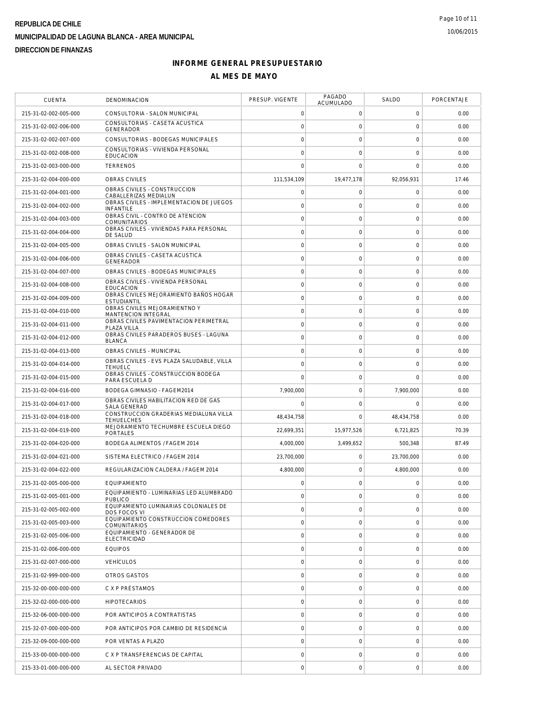| <b>CUENTA</b>         | <b>DENOMINACION</b>                                          | PRESUP. VIGENTE     | PAGADO<br>ACUMULADO | SALDO               | PORCENTAJE |
|-----------------------|--------------------------------------------------------------|---------------------|---------------------|---------------------|------------|
| 215-31-02-002-005-000 | CONSULTORIA - SALON MUNICIPAL                                | 0                   | 0                   | $\mathbf 0$         | 0.00       |
| 215-31-02-002-006-000 | CONSULTORIAS - CASETA ACUSTICA<br><b>GENERADOR</b>           | $\circ$             | $\mathsf O$         | $\mathsf{O}\xspace$ | 0.00       |
| 215-31-02-002-007-000 | CONSULTORIAS - BODEGAS MUNICIPALES                           | $\mathbf 0$         | $\mathsf{O}\xspace$ | $\mathbf 0$         | 0.00       |
| 215-31-02-002-008-000 | CONSULTORIAS - VIVIENDA PERSONAL<br><b>EDUCACION</b>         | $\mathbf 0$         | $\mathbf 0$         | $\mathbf 0$         | 0.00       |
| 215-31-02-003-000-000 | <b>TERRENOS</b>                                              | $\Omega$            | $\mathbf 0$         | $\mathbf 0$         | 0.00       |
| 215-31-02-004-000-000 | OBRAS CIVILES                                                | 111,534,109         | 19,477,178          | 92,056,931          | 17.46      |
| 215-31-02-004-001-000 | OBRAS CIVILES - CONSTRUCCION<br>CABALLERIZAS MEDIALUN        | $\mathsf O$         | $\mathsf{O}\xspace$ | $\mathbf 0$         | 0.00       |
| 215-31-02-004-002-000 | OBRAS CIVILES - IMPLEMENTACION DE JUEGOS<br><b>INFANTILE</b> | $\mathbf 0$         | 0                   | 0                   | 0.00       |
| 215-31-02-004-003-000 | OBRAS CIVIL - CONTRO DE ATENCION<br><b>COMUNITARIOS</b>      | $\circ$             | $\mathsf{O}\xspace$ | $\mathbf 0$         | 0.00       |
| 215-31-02-004-004-000 | OBRAS CIVILES - VIVIENDAS PARA PERSONAL<br>DE SALUD          | $\mathbf 0$         | $\mathsf{O}\xspace$ | $\mathbf 0$         | 0.00       |
| 215-31-02-004-005-000 | OBRAS CIVILES - SALON MUNICIPAL                              | $\mathsf{O}\xspace$ | $\mathsf{O}\xspace$ | $\mathbf 0$         | 0.00       |
| 215-31-02-004-006-000 | OBRAS CIVILES - CASETA ACUSTICA<br>GENERADOR                 | $\circ$             | $\mathsf{O}\xspace$ | $\mathbf 0$         | 0.00       |
| 215-31-02-004-007-000 | OBRAS CIVILES - BODEGAS MUNICIPALES                          | $\mathbf 0$         | $\mathsf{O}\xspace$ | $\mathbf 0$         | 0.00       |
| 215-31-02-004-008-000 | OBRAS CIVILES - VIVIENDA PERSONAL<br><b>EDUCACION</b>        | $\circ$             | $\mathsf{O}\xspace$ | $\mathsf{O}\xspace$ | 0.00       |
| 215-31-02-004-009-000 | OBRAS CIVILES MEJORAMIENTO BAÑOS HOGAR<br><b>ESTUDIANTIL</b> | $\mathbf 0$         | $\mathsf{O}\xspace$ | $\mathbf 0$         | 0.00       |
| 215-31-02-004-010-000 | OBRAS CIVILES MEJORAMIENTNO Y<br>MANTENCION INTEGRAL         | $\circ$             | $\mathsf{O}\xspace$ | $\mathbf 0$         | 0.00       |
| 215-31-02-004-011-000 | OBRAS CIVILES PAVIMENTACION PERIMETRAL<br>PLAZA VILLA        | $\mathbf 0$         | $\mathsf{O}\xspace$ | $\mathbf 0$         | 0.00       |
| 215-31-02-004-012-000 | OBRAS CIVILES PARADEROS BUSES - LAGUNA<br><b>BLANCA</b>      | $\circ$             | $\mathsf{O}\xspace$ | $\mathbf 0$         | 0.00       |
| 215-31-02-004-013-000 | OBRAS CIVILES - MUNICIPAL                                    | $\circ$             | $\mathsf{O}\xspace$ | $\mathbf 0$         | 0.00       |
| 215-31-02-004-014-000 | OBRAS CIVILES - EVS PLAZA SALUDABLE, VILLA<br><b>TEHUELC</b> | $\mathbf 0$         | $\mathbf 0$         | 0                   | 0.00       |
| 215-31-02-004-015-000 | OBRAS CIVILES - CONSTRUCCION BODEGA<br>PARA ESCUELA D        | $\mathbf 0$         | $\mathsf{O}\xspace$ | $\overline{0}$      | 0.00       |
| 215-31-02-004-016-000 | BODEGA GIMNASIO - FAGEM2014                                  | 7,900,000           | $\mathsf{O}\xspace$ | 7,900,000           | 0.00       |
| 215-31-02-004-017-000 | OBRAS CIVILES HABILITACION RED DE GAS<br>SALA GENERAD        | $\mathbf 0$         | $\mathbf 0$         | $\mathbf 0$         | 0.00       |
| 215-31-02-004-018-000 | CONSTRUCCION GRADERIAS MEDIALUNA VILLA<br><b>TEHUELCHES</b>  | 48,434,758          | $\mathbf 0$         | 48,434,758          | 0.00       |
| 215-31-02-004-019-000 | MEJORAMIENTO TECHUMBRE ESCUELA DIEGO<br>PORTALES             | 22,699,351          | 15,977,526          | 6,721,825           | 70.39      |
| 215-31-02-004-020-000 | BODEGA ALIMENTOS / FAGEM 2014                                | 4,000,000           | 3,499,652           | 500,348             | 87.49      |
| 215-31-02-004-021-000 | SISTEMA ELECTRICO / FAGEM 2014                               | 23,700,000          | 0                   | 23,700,000          | 0.00       |
| 215-31-02-004-022-000 | REGULARIZACION CALDERA / FAGEM 2014                          | 4,800,000           | $\mathsf{O}\xspace$ | 4,800,000           | 0.00       |
| 215-31-02-005-000-000 | EQUIPAMIENTO                                                 | $\mathbf 0$         | $\mathbf 0$         | 0                   | 0.00       |
| 215-31-02-005-001-000 | EQUIPAMIENTO - LUMINARIAS LED ALUMBRADO<br><b>PUBLICO</b>    | $\mathbf 0$         | $\mathsf{O}\xspace$ | $\mathbf 0$         | 0.00       |
| 215-31-02-005-002-000 | EQUIPAMIENTO LUMINARIAS COLONIALES DE<br>DOS FOCOS VI        | $\circ$             | $\mathsf{O}\xspace$ | $\mathbf 0$         | 0.00       |
| 215-31-02-005-003-000 | EQUIPAMIENTO CONSTRUCCION COMEDORES<br>COMUNITARIOS          | $\mathsf{O}\xspace$ | $\mathbf 0$         | 0                   | 0.00       |
| 215-31-02-005-006-000 | EQUIPAMIENTO - GENERADOR DE<br><b>ELECTRICIDAD</b>           | $\mathsf{O}\xspace$ | $\mathsf{O}\xspace$ | $\mathbf 0$         | 0.00       |
| 215-31-02-006-000-000 | <b>EQUIPOS</b>                                               | $\circ$             | $\mathsf O$         | $\mathbf 0$         | 0.00       |
| 215-31-02-007-000-000 | <b>VEHÍCULOS</b>                                             | $\mathsf{O}\xspace$ | $\mathbf 0$         | $\mathbf 0$         | 0.00       |
| 215-31-02-999-000-000 | OTROS GASTOS                                                 | $\circ$             | $\mathsf{O}\xspace$ | $\mathbf 0$         | 0.00       |
| 215-32-00-000-000-000 | C X P PRÉSTAMOS                                              | $\mathbf 0$         | $\mathsf{O}\xspace$ | $\mathbf 0$         | 0.00       |
| 215-32-02-000-000-000 | <b>HIPOTECARIOS</b>                                          | $\mathsf{O}\xspace$ | $\mathsf O$         | $\mathsf{O}\xspace$ | 0.00       |
| 215-32-06-000-000-000 | POR ANTICIPOS A CONTRATISTAS                                 | $\circ$             | $\mathsf O$         | $\mathbf 0$         | 0.00       |
| 215-32-07-000-000-000 | POR ANTICIPOS POR CAMBIO DE RESIDENCIA                       | $\circ$             | $\mathsf O$         | $\mathbf 0$         | 0.00       |
| 215-32-09-000-000-000 | POR VENTAS A PLAZO                                           | $\mathbf 0$         | $\mathbf 0$         | $\mathbf 0$         | 0.00       |
| 215-33-00-000-000-000 | C X P TRANSFERENCIAS DE CAPITAL                              | $\mathsf{O}\xspace$ | $\mathsf O$         | $\mathbf 0$         | 0.00       |
| 215-33-01-000-000-000 | AL SECTOR PRIVADO                                            | $\mathbf 0$         | $\mathsf{O}\xspace$ | $\mathbf 0$         | 0.00       |